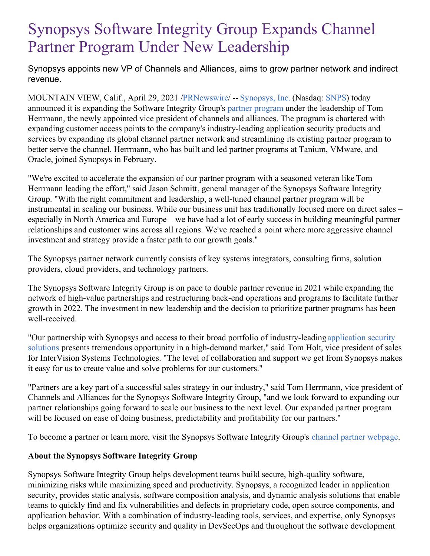## Synopsys Software Integrity Group Expands Channel Partner Program Under New Leadership

Synopsys appoints new VP of Channels and Alliances, aims to grow partner network and indirect revenue.

MOUNTAIN VIEW, Calif., April 29, 2021 [/PRNewswire](http://www.prnewswire.com/)/ -- [Synopsys,](https://c212.net/c/link/?t=0&l=en&o=3145703-1&h=2002238663&u=https%3A%2F%2Fwww.synopsys.com%2F%3Fcmp%3Dpr-sig%26utm_medium%3Dreferral&a=Synopsys%2C+Inc.) Inc. (Nasdaq: [SNPS](https://c212.net/c/link/?t=0&l=en&o=3145703-1&h=3013108769&u=https%3A%2F%2Fwww.synopsys.com%2Fcompany%2Finvestor-relations.html%3Fcmp%3Dpr-sig%26utm_medium%3Dreferral&a=SNPS)) today announced it is expanding the Software Integrity Group's partner [program](https://c212.net/c/link/?t=0&l=en&o=3145703-1&h=3787398315&u=https%3A%2F%2Fwww.synopsys.com%2Fsoftware-integrity%2Fpartners%2Fsolution-providers.html%3Fcmp%3Dpr-sig%26utm_medium%3Dreferral&a=partner+program) under the leadership of Tom Herrmann, the newly appointed vice president of channels and alliances. The program is chartered with expanding customer access points to the company's industry-leading application security products and services by expanding its global channel partner network and streamlining its existing partner program to better serve the channel. Herrmann, who has built and led partner programs at Tanium, VMware, and Oracle, joined Synopsys in February.

"We're excited to accelerate the expansion of our partner program with a seasoned veteran like Tom Herrmann leading the effort," said Jason Schmitt, general manager of the Synopsys Software Integrity Group. "With the right commitment and leadership, a well-tuned channel partner program will be instrumental in scaling our business. While our business unit has traditionally focused more on direct sales – especially in North America and Europe – we have had a lot of early success in building meaningful partner relationships and customer wins across all regions. We've reached a point where more aggressive channel investment and strategy provide a faster path to our growth goals."

The Synopsys partner network currently consists of key systems integrators, consulting firms, solution providers, cloud providers, and technology partners.

The Synopsys Software Integrity Group is on pace to double partner revenue in 2021 while expanding the network of high-value partnerships and restructuring back-end operations and programs to facilitate further growth in 2022. The investment in new leadership and the decision to prioritize partner programs has been well-received.

"Our partnership with Synopsys and access to their broad portfolio of [industry-leadingapplication](https://www.synopsys.com/software-integrity/solutions/application-security-testing.html) security solutions presents tremendous opportunity in a high-demand market," said Tom Holt, vice president of sales for InterVision Systems Technologies. "The level of collaboration and support we get from Synopsys makes it easy for us to create value and solve problems for our customers."

"Partners are a key part of a successful sales strategy in our industry," said Tom Herrmann, vice president of Channels and Alliances for the Synopsys Software Integrity Group, "and we look forward to expanding our partner relationships going forward to scale our business to the next level. Our expanded partner program will be focused on ease of doing business, predictability and profitability for our partners."

To become a partner or learn more, visit the Synopsys Software Integrity Group's channel partner [webpage](https://c212.net/c/link/?t=0&l=en&o=3145703-1&h=2066590334&u=https%3A%2F%2Fwww.synopsys.com%2Fsoftware-integrity%2Fpartners%2Fsolution-providers.html%3Fcmp%3Dpr-sig%26utm_medium%3Dreferral&a=channel+partner+webpage).

## **About the Synopsys Software Integrity Group**

Synopsys Software Integrity Group helps development teams build secure, high-quality software, minimizing risks while maximizing speed and productivity. Synopsys, a recognized leader in application security, provides static analysis, software composition analysis, and dynamic analysis solutions that enable teams to quickly find and fix vulnerabilities and defects in proprietary code, open source components, and application behavior. With a combination of industry-leading tools, services, and expertise, only Synopsys helps organizations optimize security and quality in DevSecOps and throughout the software development